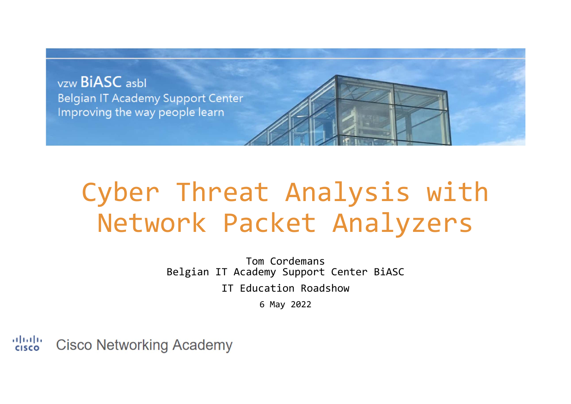

# Cyber Threat Analysis with Network Packet Analyzers

Tom Cordemans Belgian IT Academy Support Center BiASC IT Education Roadshow 6 May 2022

altalia **Cisco Networking Academy CISCO**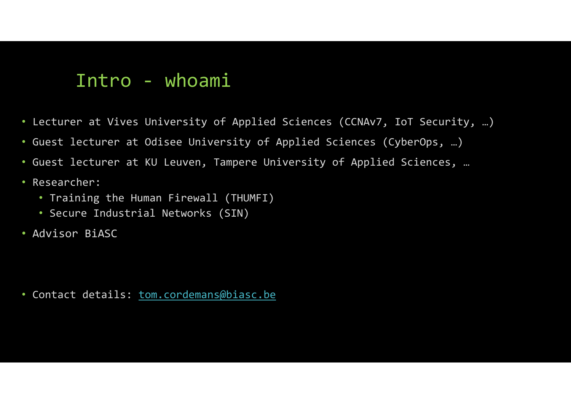### Intro ‐ whoami

- Lecturer at Vives University of Applied Sciences (CCNAv7, IoT Security, …)
- Guest lecturer at Odisee University of Applied Sciences (CyberOps, …)
- Guest lecturer at KU Leuven, Tampere University of Applied Sciences, …
- Researcher:
	- Training the Human Firewall (THUMFI)
	- Secure Industrial Networks (SIN)
- Advisor BiASC

• Contact details: <u>tom.cordemans@biasc.be</u>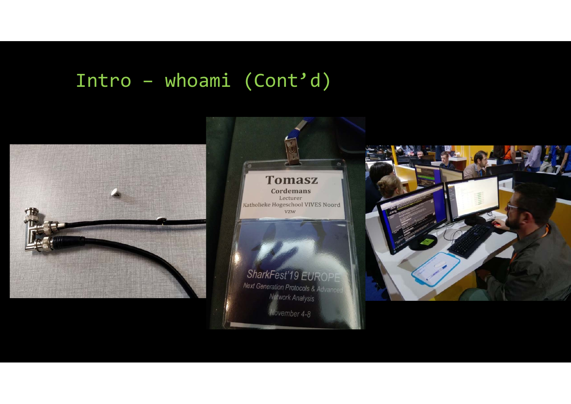### Intro – whoami (Cont'd)

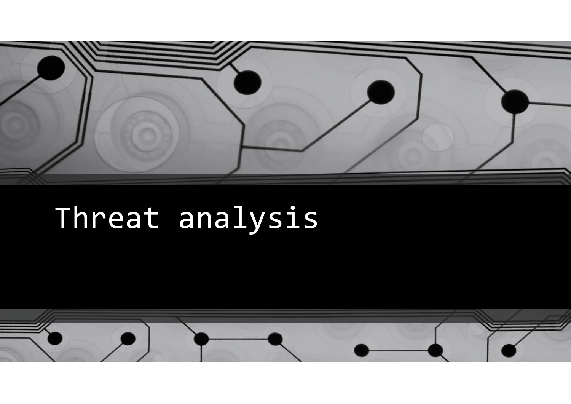

# Threat analysis

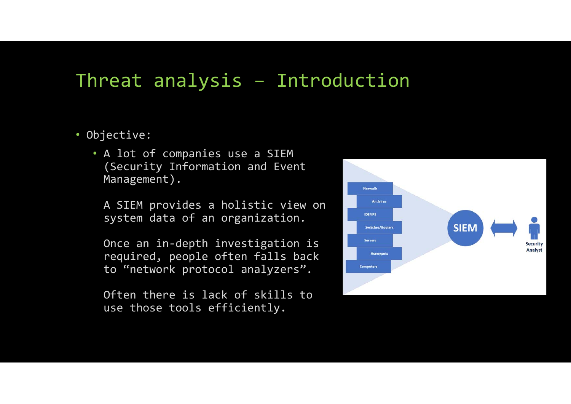# Threat analysis – Introduction

- Objective:
	- A lot of companies use <sup>a</sup> SIEM (Security Information and Event Management).

A SIEM provides <sup>a</sup> holistic view on system data of an organization.

Once an in‐depth investigation is required, people often falls back to "network protocol analyzers".

Often there is lack of skills to use those tools efficiently.

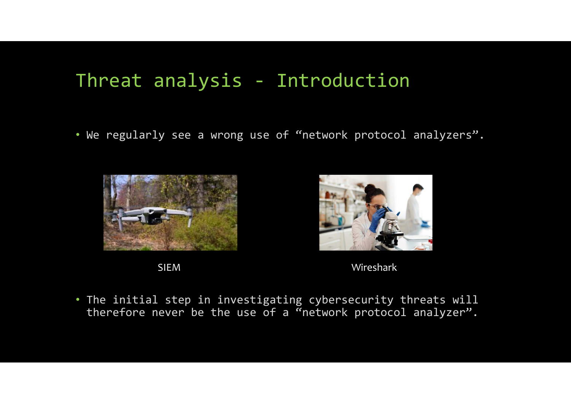# Threat analysis ‐ Introduction

• We regularly see <sup>a</sup> wrong use of "network protocol analyzers".









• The initial step in investigating cybersecurity threats will therefore never be the use of <sup>a</sup> "network protocol analyzer".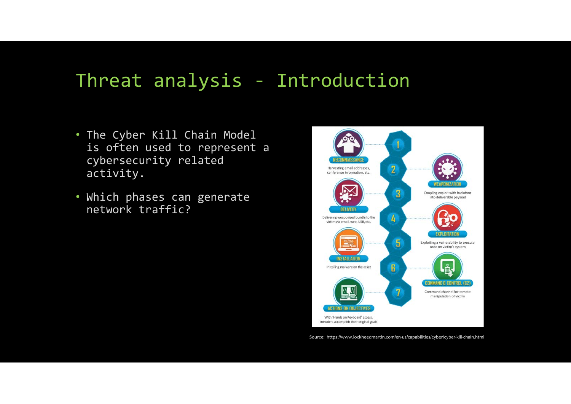# Threat analysis ‐ Introduction

- The Cyber Kill Chain Model is often used to represent <sup>a</sup> cybersecurity related activity.
- Which phases can generate network traffic?



Source: https://www.lockheedmartin.com/en‐us/capabilities/cyber/cyber‐kill‐chain.html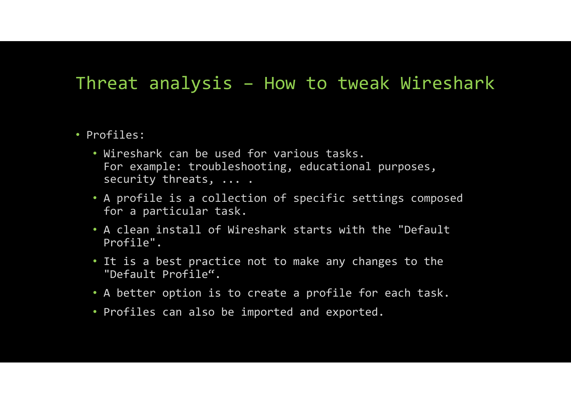#### Threat analysis – How to tweak Wireshark

#### • Profiles:

- Wireshark can be used for various tasks. For example: troubleshooting, educational purposes, security threats, ... .
- A profile is <sup>a</sup> collection of specific settings composed for <sup>a</sup> particular task.
- A clean install of Wireshark starts with the "Default Profile".
- It is <sup>a</sup> best practice not to make any changes to the "Default Profile".
- A better option is to create <sup>a</sup> profile for each task.
- Profiles can also be imported and exported.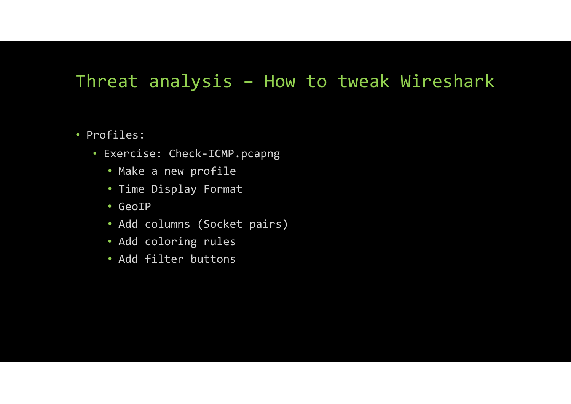### Threat analysis – How to tweak Wireshark

- Profiles:
	- Exercise: Check‐ICMP.pcapng
		- Make <sup>a</sup> new profile
		- Time Display Format
		- GeoIP
		- Add columns (Socket pairs)
		- Add coloring rules
		- Add filter buttons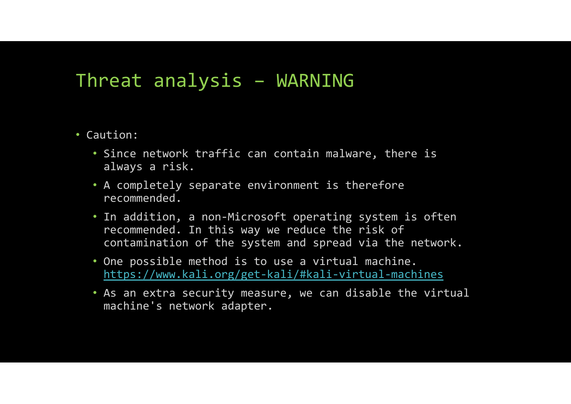# Threat analysis – WARNING

- Caution:
	- Since network traffic can contain malware, there is always <sup>a</sup> risk.
	- A completely separate environment is therefore recommended.
	- In addition, <sup>a</sup> non‐Microsoft operating system is often recommended. In this way we reduce the risk of contamination of the system and spread via the network.
	- One possible method is to use <sup>a</sup> virtual machine. https://www.kali.org/get‐kali/#kali‐virtual‐machines
	- As an extra security measure, we can disable the virtual machine's network adapter.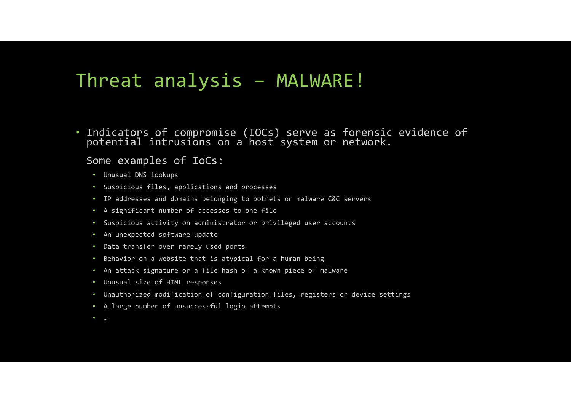# Threat analysis – MALWARE!

• Indicators of compromise (IOCs) serve as forensic evidence of potential intrusions on <sup>a</sup> host system or network.

#### Some examples of IoCs:

- Unusual DNS lookups
- Suspicious files, applications and processes
- IP addresses and domains belonging to botnets or malware C&C servers
- A significant number of accesses to one file
- Suspicious activity on administrator or privileged user accounts
- An unexpected software update
- Data transfer over rarely used ports
- Behavior on <sup>a</sup> website that is atypical for <sup>a</sup> human being
- An attack signature or <sup>a</sup> file hash of <sup>a</sup> known piece of malware
- Unusual size of HTML responses
- Unauthorized modification of configuration files, registers or device settings
- A large number of unsuccessful login attempts
- …